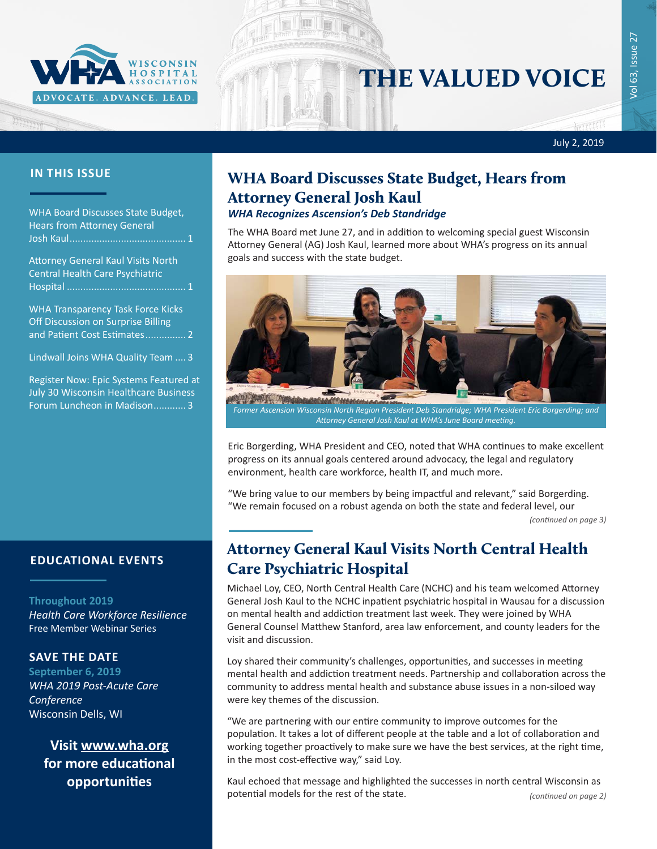

# THE VALUED VOICE

July 2, 2019

#### **IN THIS ISSUE**

WHA Board Discusses State Budget, Hears from Attorney General Josh Kaul........................................... 1

Attorney General Kaul Visits North Central Health Care Psychiatric Hospital ............................................ 1

[WHA Transparency Task Force Kicks](#page-1-0)  [Off Discussion on Surprise Billing](#page-1-0)  [and Patient Cost Estimates](#page-1-0)............... 2

[Lindwall Joins WHA Quality Team](#page-2-0) .... 3

[Register Now: Epic Systems Featured at](#page-2-0) [July 30 Wisconsin Healthcare Business](#page-2-0)  [Forum Luncheon in Madison](#page-2-0)............ 3

### **EDUCATIONAL EVENTS**

#### **Throughout 2019**

*[Health Care Workforce Resilience](http://www.whareg4.org/WorkforceResilience/)* Free Member Webinar Series

#### **SAVE THE DATE**

**September 6, 2019** *WHA 2019 Post-Acute Care Conference* Wisconsin Dells, WI

> **Visit [www.wha.org](https://www.wha.org) for more educational opportunities**

## WHA Board Discusses State Budget, Hears from Attorney General Josh Kaul

#### *WHA Recognizes Ascension's Deb Standridge*

The WHA Board met June 27, and in addition to welcoming special guest Wisconsin Attorney General (AG) Josh Kaul, learned more about WHA's progress on its annual goals and success with the state budget.



*Former Ascension Wisconsin North Region President Deb Standridge; WHA President Eric Borgerding; and Attorney General Josh Kaul at WHA's June Board meeting.*

Eric Borgerding, WHA President and CEO, noted that WHA continues to make excellent progress on its annual goals centered around advocacy, the legal and regulatory environment, health care workforce, health IT, and much more.

"We bring value to our members by being impactful and relevant," said Borgerding. "We remain focused on a robust agenda on both the state and federal level, our

*(continued on page 3)*

### Attorney General Kaul Visits North Central Health Care Psychiatric Hospital

Michael Loy, CEO, North Central Health Care (NCHC) and his team welcomed Attorney General Josh Kaul to the NCHC inpatient psychiatric hospital in Wausau for a discussion on mental health and addiction treatment last week. They were joined by WHA General Counsel Matthew Stanford, area law enforcement, and county leaders for the visit and discussion.

Loy shared their community's challenges, opportunities, and successes in meeting mental health and addiction treatment needs. Partnership and collaboration across the community to address mental health and substance abuse issues in a non-siloed way were key themes of the discussion.

"We are partnering with our entire community to improve outcomes for the population. It takes a lot of different people at the table and a lot of collaboration and working together proactively to make sure we have the best services, at the right time, in the most cost-effective way," said Loy.

Kaul echoed that message and highlighted the successes in north central Wisconsin as potential models for the rest of the state. *(continued on page 2)*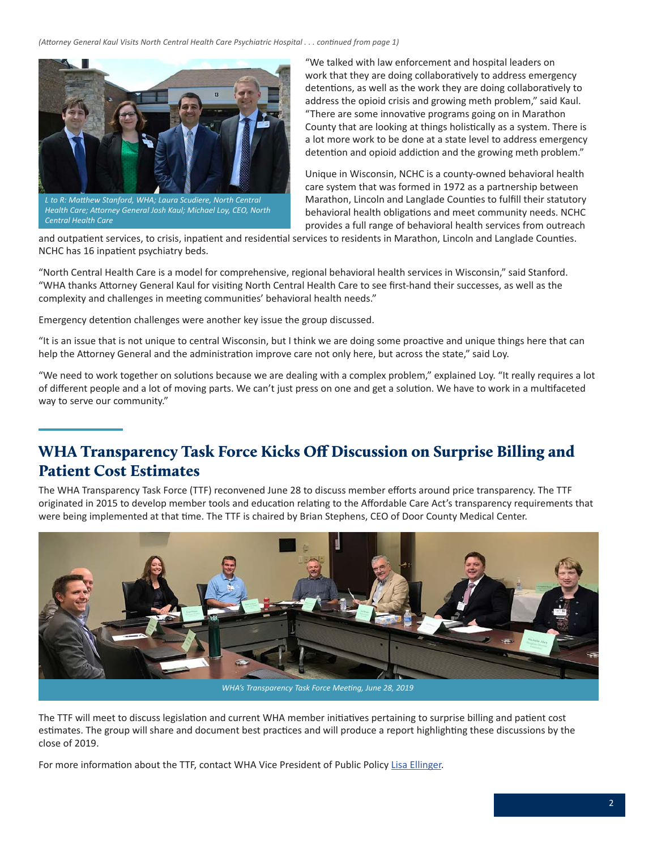<span id="page-1-0"></span>*(Attorney General Kaul Visits North Central Health Care Psychiatric Hospital . . . continued from page 1)*



*L to R: Matthew Stanford, WHA; Laura Scudiere, North Central Health Care; Attorney General Josh Kaul; Michael Loy, CEO, North Central Health Care*

"We talked with law enforcement and hospital leaders on work that they are doing collaboratively to address emergency detentions, as well as the work they are doing collaboratively to address the opioid crisis and growing meth problem," said Kaul. "There are some innovative programs going on in Marathon County that are looking at things holistically as a system. There is a lot more work to be done at a state level to address emergency detention and opioid addiction and the growing meth problem."

Unique in Wisconsin, NCHC is a county-owned behavioral health care system that was formed in 1972 as a partnership between Marathon, Lincoln and Langlade Counties to fulfill their statutory behavioral health obligations and meet community needs. NCHC provides a full range of behavioral health services from outreach

and outpatient services, to crisis, inpatient and residential services to residents in Marathon, Lincoln and Langlade Counties. NCHC has 16 inpatient psychiatry beds.

"North Central Health Care is a model for comprehensive, regional behavioral health services in Wisconsin," said Stanford. "WHA thanks Attorney General Kaul for visiting North Central Health Care to see first-hand their successes, as well as the complexity and challenges in meeting communities' behavioral health needs."

Emergency detention challenges were another key issue the group discussed.

"It is an issue that is not unique to central Wisconsin, but I think we are doing some proactive and unique things here that can help the Attorney General and the administration improve care not only here, but across the state," said Loy.

"We need to work together on solutions because we are dealing with a complex problem," explained Loy. "It really requires a lot of different people and a lot of moving parts. We can't just press on one and get a solution. We have to work in a multifaceted way to serve our community."

### WHA Transparency Task Force Kicks Off Discussion on Surprise Billing and Patient Cost Estimates

The WHA Transparency Task Force (TTF) reconvened June 28 to discuss member efforts around price transparency. The TTF originated in 2015 to develop member tools and education relating to the Affordable Care Act's transparency requirements that were being implemented at that time. The TTF is chaired by Brian Stephens, CEO of Door County Medical Center.



*WHA's Transparency Task Force Meeting, June 28, 2019*

The TTF will meet to discuss legislation and current WHA member initiatives pertaining to surprise billing and patient cost estimates. The group will share and document best practices and will produce a report highlighting these discussions by the close of 2019.

For more information about the TTF, contact WHA Vice President of Public Policy [Lisa Ellinger](mailto:lellinger@wha.org).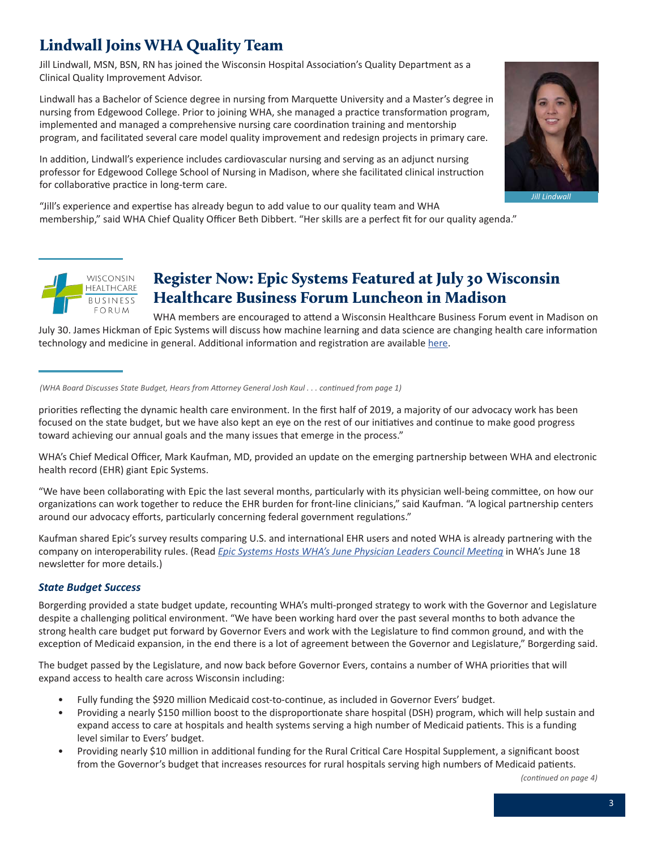# <span id="page-2-0"></span>Lindwall Joins WHA Quality Team

Jill Lindwall, MSN, BSN, RN has joined the Wisconsin Hospital Association's Quality Department as a Clinical Quality Improvement Advisor.

Lindwall has a Bachelor of Science degree in nursing from Marquette University and a Master's degree in nursing from Edgewood College. Prior to joining WHA, she managed a practice transformation program, implemented and managed a comprehensive nursing care coordination training and mentorship program, and facilitated several care model quality improvement and redesign projects in primary care.

In addition, Lindwall's experience includes cardiovascular nursing and serving as an adjunct nursing professor for Edgewood College School of Nursing in Madison, where she facilitated clinical instruction for collaborative practice in long-term care.

"Jill's experience and expertise has already begun to add value to our quality team and WHA membership," said WHA Chief Quality Officer Beth Dibbert. "Her skills are a perfect fit for our quality agenda."



*Jill Lindwall*

**WISCONSIN HEALTHCARE BUSINESS**  $FORUM$ 

### Register Now: Epic Systems Featured at July 30 Wisconsin Healthcare Business Forum Luncheon in Madison

WHA members are encouraged to attend a Wisconsin Healthcare Business Forum event in Madison on July 30. James Hickman of Epic Systems will discuss how machine learning and data science are changing health care information technology and medicine in general. Additional information and registration are available [here.](https://wisconsintechnologycouncil.com/event/tech-council-innovation-network-madison-luncheon-7/)

#### *(WHA Board Discusses State Budget, Hears from Attorney General Josh Kaul . . . continued from page 1)*

priorities reflecting the dynamic health care environment. In the first half of 2019, a majority of our advocacy work has been focused on the state budget, but we have also kept an eye on the rest of our initiatives and continue to make good progress toward achieving our annual goals and the many issues that emerge in the process."

WHA's Chief Medical Officer, Mark Kaufman, MD, provided an update on the emerging partnership between WHA and electronic health record (EHR) giant Epic Systems.

"We have been collaborating with Epic the last several months, particularly with its physician well-being committee, on how our organizations can work together to reduce the EHR burden for front-line clinicians," said Kaufman. "A logical partnership centers around our advocacy efforts, particularly concerning federal government regulations."

Kaufman shared Epic's survey results comparing U.S. and international EHR users and noted WHA is already partnering with the company on interoperability rules. (Read *[Epic Systems Hosts WHA's June Physician Leaders Council Meeting](https://www.wha.org/WisconsinHospitalAssociation/media/WHANewsLetters/2019PDF/WHA-Newsletter-06-18-2019.pdf#page=1)* in WHA's June 18 newsletter for more details.)

#### *State Budget Success*

Borgerding provided a state budget update, recounting WHA's multi-pronged strategy to work with the Governor and Legislature despite a challenging political environment. "We have been working hard over the past several months to both advance the strong health care budget put forward by Governor Evers and work with the Legislature to find common ground, and with the exception of Medicaid expansion, in the end there is a lot of agreement between the Governor and Legislature," Borgerding said.

The budget passed by the Legislature, and now back before Governor Evers, contains a number of WHA priorities that will expand access to health care across Wisconsin including:

- Fully funding the \$920 million Medicaid cost-to-continue, as included in Governor Evers' budget.
- Providing a nearly \$150 million boost to the disproportionate share hospital (DSH) program, which will help sustain and expand access to care at hospitals and health systems serving a high number of Medicaid patients. This is a funding level similar to Evers' budget.
- Providing nearly \$10 million in additional funding for the Rural Critical Care Hospital Supplement, a significant boost from the Governor's budget that increases resources for rural hospitals serving high numbers of Medicaid patients.

*(continued on page 4)*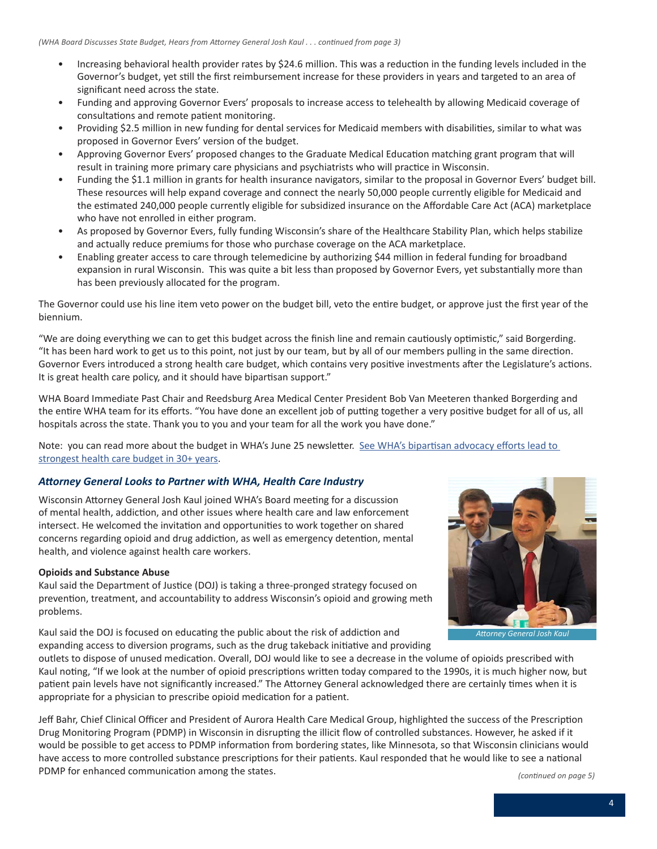- Increasing behavioral health provider rates by \$24.6 million. This was a reduction in the funding levels included in the Governor's budget, yet still the first reimbursement increase for these providers in years and targeted to an area of significant need across the state.
- Funding and approving Governor Evers' proposals to increase access to telehealth by allowing Medicaid coverage of consultations and remote patient monitoring.
- Providing \$2.5 million in new funding for dental services for Medicaid members with disabilities, similar to what was proposed in Governor Evers' version of the budget.
- Approving Governor Evers' proposed changes to the Graduate Medical Education matching grant program that will result in training more primary care physicians and psychiatrists who will practice in Wisconsin.
- Funding the \$1.1 million in grants for health insurance navigators, similar to the proposal in Governor Evers' budget bill. These resources will help expand coverage and connect the nearly 50,000 people currently eligible for Medicaid and the estimated 240,000 people currently eligible for subsidized insurance on the Affordable Care Act (ACA) marketplace who have not enrolled in either program.
- As proposed by Governor Evers, fully funding Wisconsin's share of the Healthcare Stability Plan, which helps stabilize and actually reduce premiums for those who purchase coverage on the ACA marketplace.
- Enabling greater access to care through telemedicine by authorizing \$44 million in federal funding for broadband expansion in rural Wisconsin. This was quite a bit less than proposed by Governor Evers, yet substantially more than has been previously allocated for the program.

The Governor could use his line item veto power on the budget bill, veto the entire budget, or approve just the first year of the biennium.

"We are doing everything we can to get this budget across the finish line and remain cautiously optimistic," said Borgerding. "It has been hard work to get us to this point, not just by our team, but by all of our members pulling in the same direction. Governor Evers introduced a strong health care budget, which contains very positive investments after the Legislature's actions. It is great health care policy, and it should have bipartisan support."

WHA Board Immediate Past Chair and Reedsburg Area Medical Center President Bob Van Meeteren thanked Borgerding and the entire WHA team for its efforts. "You have done an excellent job of putting together a very positive budget for all of us, all hospitals across the state. Thank you to you and your team for all the work you have done."

Note: you can read more about the budget in WHA's June 25 newsletter. See WHA's bipartisan advocacy efforts lead to [strongest health care budget in 30+ years](https://www.wha.org/WisconsinHospitalAssociation/media/WHANewsLetters/2019PDF/WHA-Newsletter-06-25-2019.pdf#page=7).

#### *Attorney General Looks to Partner with WHA, Health Care Industry*

Wisconsin Attorney General Josh Kaul joined WHA's Board meeting for a discussion of mental health, addiction, and other issues where health care and law enforcement intersect. He welcomed the invitation and opportunities to work together on shared concerns regarding opioid and drug addiction, as well as emergency detention, mental health, and violence against health care workers.

#### **Opioids and Substance Abuse**

Kaul said the Department of Justice (DOJ) is taking a three-pronged strategy focused on prevention, treatment, and accountability to address Wisconsin's opioid and growing meth problems.

Kaul said the DOJ is focused on educating the public about the risk of addiction and expanding access to diversion programs, such as the drug takeback initiative and providing



*Attorney General Josh Kaul*

outlets to dispose of unused medication. Overall, DOJ would like to see a decrease in the volume of opioids prescribed with Kaul noting, "If we look at the number of opioid prescriptions written today compared to the 1990s, it is much higher now, but patient pain levels have not significantly increased." The Attorney General acknowledged there are certainly times when it is appropriate for a physician to prescribe opioid medication for a patient.

Jeff Bahr, Chief Clinical Officer and President of Aurora Health Care Medical Group, highlighted the success of the Prescription Drug Monitoring Program (PDMP) in Wisconsin in disrupting the illicit flow of controlled substances. However, he asked if it would be possible to get access to PDMP information from bordering states, like Minnesota, so that Wisconsin clinicians would have access to more controlled substance prescriptions for their patients. Kaul responded that he would like to see a national PDMP for enhanced communication among the states.<br>
(continued on page 5)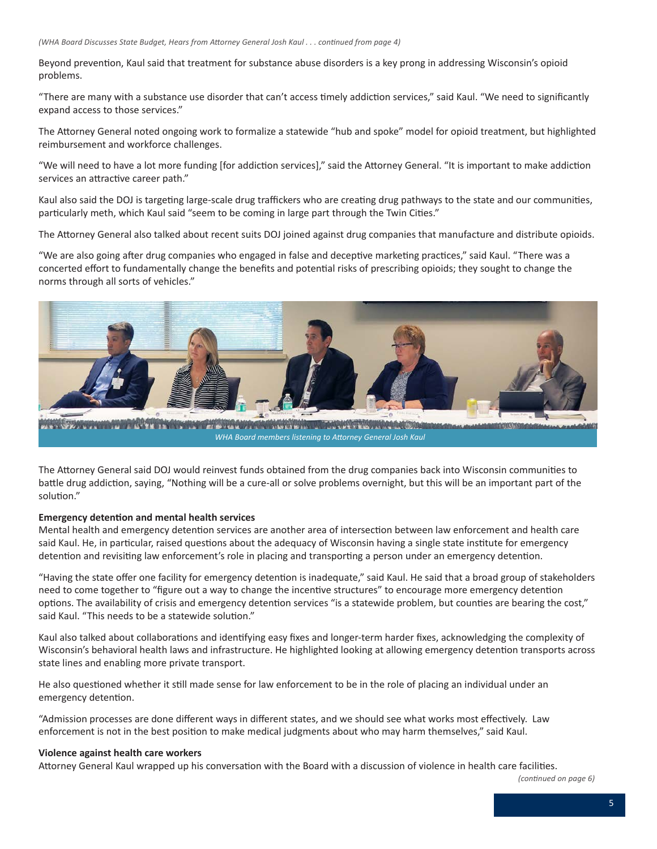*(WHA Board Discusses State Budget, Hears from Attorney General Josh Kaul . . . continued from page 4)*

Beyond prevention, Kaul said that treatment for substance abuse disorders is a key prong in addressing Wisconsin's opioid problems.

"There are many with a substance use disorder that can't access timely addiction services," said Kaul. "We need to significantly expand access to those services."

The Attorney General noted ongoing work to formalize a statewide "hub and spoke" model for opioid treatment, but highlighted reimbursement and workforce challenges.

"We will need to have a lot more funding [for addiction services]," said the Attorney General. "It is important to make addiction services an attractive career path."

Kaul also said the DOJ is targeting large-scale drug traffickers who are creating drug pathways to the state and our communities, particularly meth, which Kaul said "seem to be coming in large part through the Twin Cities."

The Attorney General also talked about recent suits DOJ joined against drug companies that manufacture and distribute opioids.

"We are also going after drug companies who engaged in false and deceptive marketing practices," said Kaul. "There was a concerted effort to fundamentally change the benefits and potential risks of prescribing opioids; they sought to change the norms through all sorts of vehicles."



A PASSAGE TO THE TABLE TO THE TABLE TO THE TABLE **MONEY OF WILD WANTED BOOK WELFARE A STREET** *WHA Board members listening to Attorney General Josh Kaul*

The Attorney General said DOJ would reinvest funds obtained from the drug companies back into Wisconsin communities to battle drug addiction, saying, "Nothing will be a cure-all or solve problems overnight, but this will be an important part of the solution."

#### **Emergency detention and mental health services**

Mental health and emergency detention services are another area of intersection between law enforcement and health care said Kaul. He, in particular, raised questions about the adequacy of Wisconsin having a single state institute for emergency detention and revisiting law enforcement's role in placing and transporting a person under an emergency detention.

"Having the state offer one facility for emergency detention is inadequate," said Kaul. He said that a broad group of stakeholders need to come together to "figure out a way to change the incentive structures" to encourage more emergency detention options. The availability of crisis and emergency detention services "is a statewide problem, but counties are bearing the cost," said Kaul. "This needs to be a statewide solution."

Kaul also talked about collaborations and identifying easy fixes and longer-term harder fixes, acknowledging the complexity of Wisconsin's behavioral health laws and infrastructure. He highlighted looking at allowing emergency detention transports across state lines and enabling more private transport.

He also questioned whether it still made sense for law enforcement to be in the role of placing an individual under an emergency detention.

"Admission processes are done different ways in different states, and we should see what works most effectively. Law enforcement is not in the best position to make medical judgments about who may harm themselves," said Kaul.

#### **Violence against health care workers**

Attorney General Kaul wrapped up his conversation with the Board with a discussion of violence in health care facilities.

*(continued on page 6)*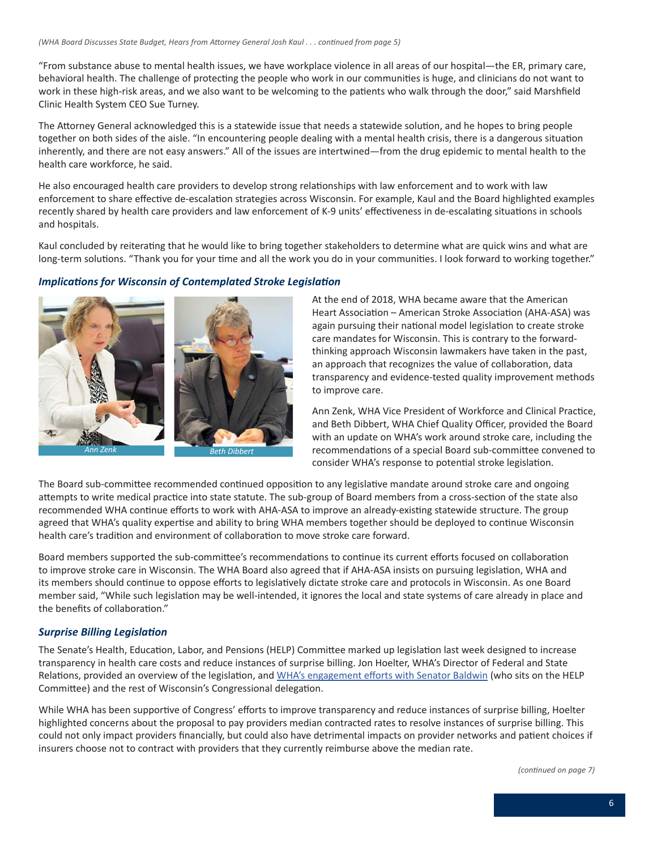"From substance abuse to mental health issues, we have workplace violence in all areas of our hospital—the ER, primary care, behavioral health. The challenge of protecting the people who work in our communities is huge, and clinicians do not want to work in these high-risk areas, and we also want to be welcoming to the patients who walk through the door," said Marshfield Clinic Health System CEO Sue Turney.

The Attorney General acknowledged this is a statewide issue that needs a statewide solution, and he hopes to bring people together on both sides of the aisle. "In encountering people dealing with a mental health crisis, there is a dangerous situation inherently, and there are not easy answers." All of the issues are intertwined—from the drug epidemic to mental health to the health care workforce, he said.

He also encouraged health care providers to develop strong relationships with law enforcement and to work with law enforcement to share effective de-escalation strategies across Wisconsin. For example, Kaul and the Board highlighted examples recently shared by health care providers and law enforcement of K-9 units' effectiveness in de-escalating situations in schools and hospitals.

Kaul concluded by reiterating that he would like to bring together stakeholders to determine what are quick wins and what are long-term solutions. "Thank you for your time and all the work you do in your communities. I look forward to working together."

#### *Implications for Wisconsin of Contemplated Stroke Legislation*



At the end of 2018, WHA became aware that the American Heart Association – American Stroke Association (AHA-ASA) was again pursuing their national model legislation to create stroke care mandates for Wisconsin. This is contrary to the forwardthinking approach Wisconsin lawmakers have taken in the past, an approach that recognizes the value of collaboration, data transparency and evidence-tested quality improvement methods to improve care.

Ann Zenk, WHA Vice President of Workforce and Clinical Practice, and Beth Dibbert, WHA Chief Quality Officer, provided the Board with an update on WHA's work around stroke care, including the recommendations of a special Board sub-committee convened to consider WHA's response to potential stroke legislation.

The Board sub-committee recommended continued opposition to any legislative mandate around stroke care and ongoing attempts to write medical practice into state statute. The sub-group of Board members from a cross-section of the state also recommended WHA continue efforts to work with AHA-ASA to improve an already-existing statewide structure. The group agreed that WHA's quality expertise and ability to bring WHA members together should be deployed to continue Wisconsin health care's tradition and environment of collaboration to move stroke care forward.

Board members supported the sub-committee's recommendations to continue its current efforts focused on collaboration to improve stroke care in Wisconsin. The WHA Board also agreed that if AHA-ASA insists on pursuing legislation, WHA and its members should continue to oppose efforts to legislatively dictate stroke care and protocols in Wisconsin. As one Board member said, "While such legislation may be well-intended, it ignores the local and state systems of care already in place and the benefits of collaboration."

#### *Surprise Billing Legislation*

The Senate's Health, Education, Labor, and Pensions (HELP) Committee marked up legislation last week designed to increase transparency in health care costs and reduce instances of surprise billing. Jon Hoelter, WHA's Director of Federal and State Relations, provided an overview of the legislation, and [WHA's engagement efforts with Senator Baldwin](https://www.wha.org/WisconsinHospitalAssociation/media/WHANewsLetters/2019PDF/WHA-Newsletter-06-25-2019.pdf#page=1) (who sits on the HELP Committee) and the rest of Wisconsin's Congressional delegation.

While WHA has been supportive of Congress' efforts to improve transparency and reduce instances of surprise billing, Hoelter highlighted concerns about the proposal to pay providers median contracted rates to resolve instances of surprise billing. This could not only impact providers financially, but could also have detrimental impacts on provider networks and patient choices if insurers choose not to contract with providers that they currently reimburse above the median rate.